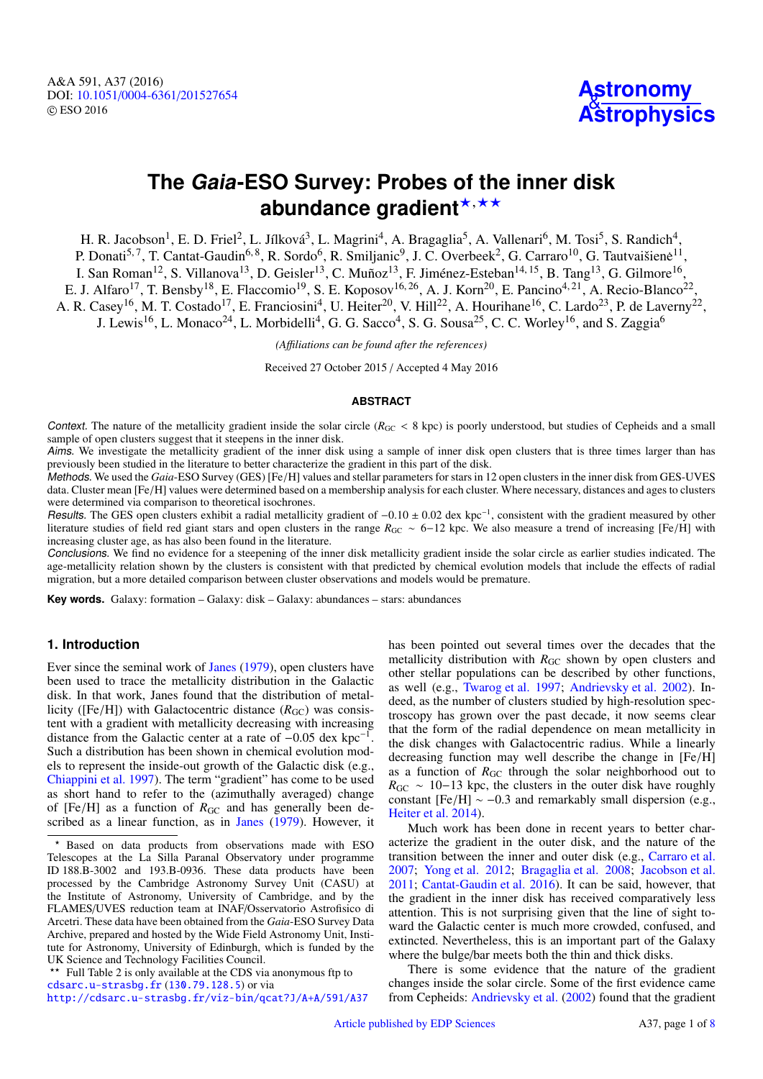A&A 591, A37 (2016) DOI: 10.1051/0004-6361/[201527654](http://dx.doi.org/10.1051/0004-6361/201527654) c ESO 2016



# **The Gaia-ESO Survey: Probes of the inner disk** abundance gradient<sup>\*,\*\*</sup>

H. R. Jacobson<sup>1</sup>, E. D. Friel<sup>2</sup>, L. Jílková<sup>3</sup>, L. Magrini<sup>4</sup>, A. Bragaglia<sup>5</sup>, A. Vallenari<sup>6</sup>, M. Tosi<sup>5</sup>, S. Randich<sup>4</sup>, P. Donati<sup>5,7</sup>, T. Cantat-Gaudin<sup>6,8</sup>, R. Sordo<sup>6</sup>, R. Smiljanic<sup>9</sup>, J. C. Overbeek<sup>2</sup>, G. Carraro<sup>10</sup>, G. Tautvaišienė<sup>11</sup>, I. San Roman<sup>12</sup>, S. Villanova<sup>13</sup>, D. Geisler<sup>13</sup>, C. Muñoz<sup>13</sup>, F. Jiménez-Esteban<sup>14, 15</sup>, B. Tang<sup>13</sup>, G. Gilmore<sup>16</sup>, E. J. Alfaro<sup>17</sup>, T. Bensby<sup>18</sup>, E. Flaccomio<sup>19</sup>, S. E. Koposov<sup>16, 26</sup>, A. J. Korn<sup>20</sup>, E. Pancino<sup>4, 21</sup>, A. Recio-Blanco<sup>22</sup>, A. R. Casey<sup>16</sup>, M. T. Costado<sup>17</sup>, E. Franciosini<sup>4</sup>, U. Heiter<sup>20</sup>, V. Hill<sup>22</sup>, A. Hourihane<sup>16</sup>, C. Lardo<sup>23</sup>, P. de Laverny<sup>22</sup>, J. Lewis<sup>16</sup>, L. Monaco<sup>24</sup>, L. Morbidelli<sup>4</sup>, G. G. Sacco<sup>4</sup>, S. G. Sousa<sup>25</sup>, C. C. Worley<sup>16</sup>, and S. Zaggia<sup>6</sup>

*(A*ffi*liations can be found after the references)*

Received 27 October 2015 / Accepted 4 May 2016

#### **ABSTRACT**

Context. The nature of the metallicity gradient inside the solar circle ( $R_{GC}$  < 8 kpc) is poorly understood, but studies of Cepheids and a small sample of open clusters suggest that it steepens in the inner disk.

Aims. We investigate the metallicity gradient of the inner disk using a sample of inner disk open clusters that is three times larger than has previously been studied in the literature to better characterize the gradient in this part of the disk.

Methods. We used the *Gaia*-ESO Survey (GES) [Fe/H] values and stellar parameters for stars in 12 open clusters in the inner disk from GES-UVES data. Cluster mean [Fe/H] values were determined based on a membership analysis for each cluster. Where necessary, distances and ages to clusters were determined via comparison to theoretical isochrones.

Results. The GES open clusters exhibit a radial metallicity gradient of -0.10 ± 0.02 dex kpc<sup>-1</sup>, consistent with the gradient measured by other literature studies of field red giant stars and open clusters in the range literature studies of field red giant stars and open clusters in the range *<sup>R</sup>*GC <sup>∼</sup> <sup>6</sup>−12 kpc. We also measure a trend of increasing [Fe/H] with increasing cluster age, as has also been found in the literature.

Conclusions. We find no evidence for a steepening of the inner disk metallicity gradient inside the solar circle as earlier studies indicated. The age-metallicity relation shown by the clusters is consistent with that predicted by chemical evolution models that include the effects of radial migration, but a more detailed comparison between cluster observations and models would be premature.

**Key words.** Galaxy: formation – Galaxy: disk – Galaxy: abundances – stars: abundances

### **1. Introduction**

Ever since the seminal work of [Janes](#page-7-0) [\(1979\)](#page-7-0), open clusters have been used to trace the metallicity distribution in the Galactic disk. In that work, Janes found that the distribution of metallicity ([Fe/H]) with Galactocentric distance ( $R_{\text{GC}}$ ) was consistent with a gradient with metallicity decreasing with increasing distance from the Galactic center at a rate of  $-0.05$  dex kpc<sup>-1</sup>. Such a distribution has been shown in chemical evolution models to represent the inside-out growth of the Galactic disk (e.g., [Chiappini et al.](#page-7-1) [1997\)](#page-7-1). The term "gradient" has come to be used as short hand to refer to the (azimuthally averaged) change of  $[Fe/H]$  as a function of  $R_{GC}$  and has generally been described as a linear function, as in [Janes](#page-7-0) [\(1979\)](#page-7-0). However, it

\*\* Full Table 2 is only available at the CDS via anonymous ftp to [cdsarc.u-strasbg.fr](http://cdsarc.u-strasbg.fr) (<130.79.128.5>) or via

<http://cdsarc.u-strasbg.fr/viz-bin/qcat?J/A+A/591/A37>

has been pointed out several times over the decades that the metallicity distribution with  $R<sub>GC</sub>$  shown by open clusters and other stellar populations can be described by other functions, as well (e.g., [Twarog et al.](#page-7-2) [1997;](#page-7-2) [Andrievsky et al.](#page-6-0) [2002\)](#page-6-0). Indeed, as the number of clusters studied by high-resolution spectroscopy has grown over the past decade, it now seems clear that the form of the radial dependence on mean metallicity in the disk changes with Galactocentric radius. While a linearly decreasing function may well describe the change in [Fe/H] as a function of  $R_{GC}$  through the solar neighborhood out to  $R_{\rm GC} \sim 10-13$  kpc, the clusters in the outer disk have roughly constant  $[Fe/H] \sim -0.3$  and remarkably small dispersion (e.g., [Heiter et al.](#page-7-3) [2014\)](#page-7-3).

Much work has been done in recent years to better characterize the gradient in the outer disk, and the nature of the transition between the inner and outer disk (e.g., [Carraro et al.](#page-6-1) [2007;](#page-6-1) [Yong et al.](#page-7-4) [2012;](#page-7-4) [Bragaglia et al.](#page-6-2) [2008;](#page-6-2) [Jacobson et al.](#page-7-5) [2011;](#page-7-5) [Cantat-Gaudin et al.](#page-6-3) [2016\)](#page-6-3). It can be said, however, that the gradient in the inner disk has received comparatively less attention. This is not surprising given that the line of sight toward the Galactic center is much more crowded, confused, and extincted. Nevertheless, this is an important part of the Galaxy where the bulge/bar meets both the thin and thick disks.

There is some evidence that the nature of the gradient changes inside the solar circle. Some of the first evidence came from Cepheids: [Andrievsky et al.](#page-6-0) [\(2002\)](#page-6-0) found that the gradient

Based on data products from observations made with ESO Telescopes at the La Silla Paranal Observatory under programme ID 188.B-3002 and 193.B-0936. These data products have been processed by the Cambridge Astronomy Survey Unit (CASU) at the Institute of Astronomy, University of Cambridge, and by the FLAMES/UVES reduction team at INAF/Osservatorio Astrofisico di Arcetri. These data have been obtained from the *Gaia*-ESO Survey Data Archive, prepared and hosted by the Wide Field Astronomy Unit, Institute for Astronomy, University of Edinburgh, which is funded by the UK Science and Technology Facilities Council.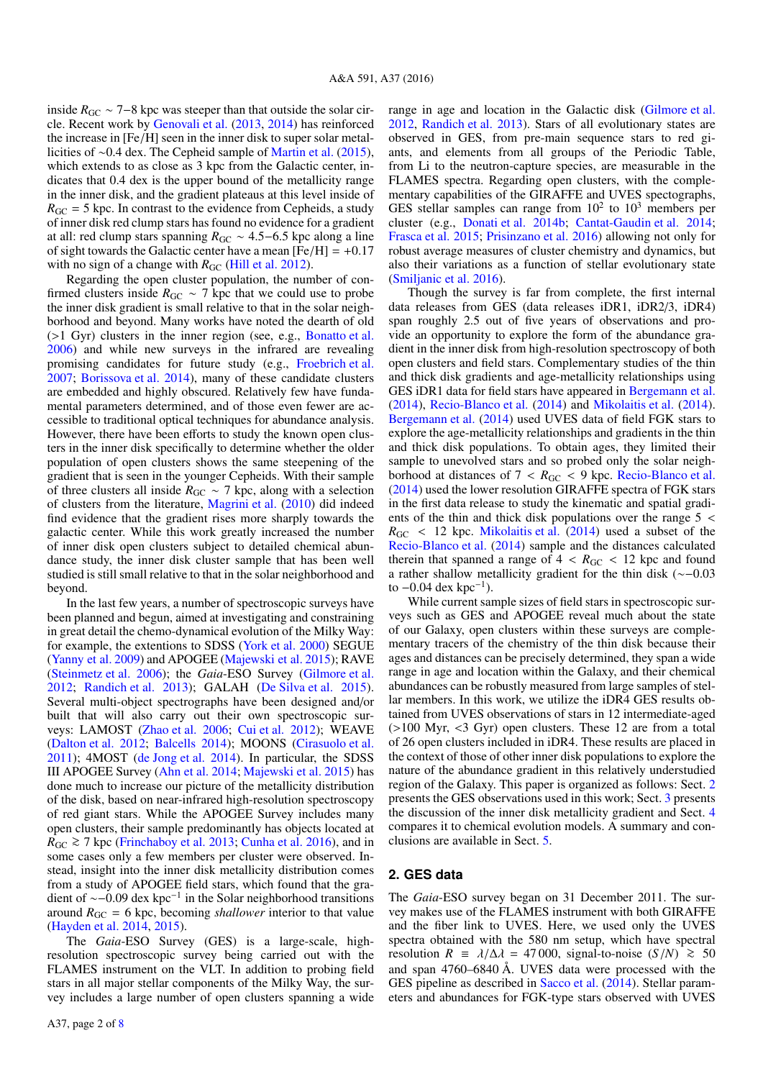inside  $R_{GC}$  ~ 7–8 kpc was steeper than that outside the solar circle. Recent work by [Genovali et al.](#page-7-7) [\(2013,](#page-7-7) [2014\)](#page-7-8) has reinforced the increase in [Fe/H] seen in the inner disk to super solar metallicities of ∼0.4 dex. The Cepheid sample of [Martin et al.](#page-7-9) [\(2015\)](#page-7-9), which extends to as close as 3 kpc from the Galactic center, indicates that 0.4 dex is the upper bound of the metallicity range in the inner disk, and the gradient plateaus at this level inside of  $R_{\text{GC}} = 5$  kpc. In contrast to the evidence from Cepheids, a study of inner disk red clump stars has found no evidence for a gradient at all: red clump stars spanning  $R_{GC} \sim 4.5-6.5$  kpc along a line of sight towards the Galactic center have a mean  $[Fe/H] = +0.17$ with no sign of a change with  $R_{GC}$  [\(Hill et al.](#page-7-10) [2012\)](#page-7-10).

Regarding the open cluster population, the number of confirmed clusters inside  $R_{\text{GC}} \sim 7$  kpc that we could use to probe the inner disk gradient is small relative to that in the solar neighborhood and beyond. Many works have noted the dearth of old (>1 Gyr) clusters in the inner region (see, e.g., [Bonatto et al.](#page-6-4) [2006\)](#page-6-4) and while new surveys in the infrared are revealing promising candidates for future study (e.g., [Froebrich et al.](#page-7-11) [2007;](#page-7-11) [Borissova et al.](#page-6-5) [2014\)](#page-6-5), many of these candidate clusters are embedded and highly obscured. Relatively few have fundamental parameters determined, and of those even fewer are accessible to traditional optical techniques for abundance analysis. However, there have been efforts to study the known open clusters in the inner disk specifically to determine whether the older population of open clusters shows the same steepening of the gradient that is seen in the younger Cepheids. With their sample of three clusters all inside  $R_{GC} \sim 7$  kpc, along with a selection of clusters from the literature, [Magrini et al.](#page-7-12) [\(2010\)](#page-7-12) did indeed find evidence that the gradient rises more sharply towards the galactic center. While this work greatly increased the number of inner disk open clusters subject to detailed chemical abundance study, the inner disk cluster sample that has been well studied is still small relative to that in the solar neighborhood and beyond.

In the last few years, a number of spectroscopic surveys have been planned and begun, aimed at investigating and constraining in great detail the chemo-dynamical evolution of the Milky Way: for example, the extentions to SDSS [\(York et al.](#page-7-13) [2000\)](#page-7-13) SEGUE [\(Yanny et al.](#page-7-14) [2009\)](#page-7-14) and APOGEE [\(Majewski et al.](#page-7-15) [2015\)](#page-7-15); RAVE [\(Steinmetz et al.](#page-7-16) [2006\)](#page-7-16); the *Gaia*-ESO Survey [\(Gilmore et al.](#page-7-17) [2012;](#page-7-17) [Randich et al.](#page-7-18) [2013\)](#page-7-18); GALAH [\(De Silva et al.](#page-7-19) [2015\)](#page-7-19). Several multi-object spectrographs have been designed and/or built that will also carry out their own spectroscopic surveys: LAMOST [\(Zhao et al.](#page-7-20) [2006;](#page-7-20) [Cui et al.](#page-7-21) [2012\)](#page-7-21); WEAVE [\(Dalton et al.](#page-7-22) [2012;](#page-7-22) [Balcells](#page-6-6) [2014\)](#page-6-6); MOONS [\(Cirasuolo et al.](#page-7-23) [2011\)](#page-7-23); 4MOST [\(de Jong et al.](#page-7-24) [2014\)](#page-7-24). In particular, the SDSS III APOGEE Survey [\(Ahn et al.](#page-6-7) [2014;](#page-6-7) [Majewski et al.](#page-7-15) [2015\)](#page-7-15) has done much to increase our picture of the metallicity distribution of the disk, based on near-infrared high-resolution spectroscopy of red giant stars. While the APOGEE Survey includes many open clusters, their sample predominantly has objects located at  $R_{\text{GC}} \ge 7$  kpc [\(Frinchaboy et al.](#page-7-25) [2013;](#page-7-25) [Cunha et al.](#page-7-26) [2016\)](#page-7-26), and in some cases only a few members per cluster were observed. Instead, insight into the inner disk metallicity distribution comes from a study of APOGEE field stars, which found that the gradient of  $\sim$ −0.09 dex kpc<sup>−1</sup> in the Solar neighborhood transitions around  $R_{CC} = 6$  kpc, becoming *shallower* interior to that value around  $R_{\text{GC}} = 6$  kpc, becoming *shallower* interior to that value [\(Hayden et al.](#page-7-27) [2014,](#page-7-27) [2015\)](#page-7-28).

The *Gaia*-ESO Survey (GES) is a large-scale, highresolution spectroscopic survey being carried out with the FLAMES instrument on the VLT. In addition to probing field stars in all major stellar components of the Milky Way, the survey includes a large number of open clusters spanning a wide range in age and location in the Galactic disk [\(Gilmore et al.](#page-7-17) [2012,](#page-7-17) [Randich et al.](#page-7-18) [2013\)](#page-7-18). Stars of all evolutionary states are observed in GES, from pre-main sequence stars to red giants, and elements from all groups of the Periodic Table, from Li to the neutron-capture species, are measurable in the FLAMES spectra. Regarding open clusters, with the complementary capabilities of the GIRAFFE and UVES spectographs, GES stellar samples can range from  $10^2$  to  $10^3$  members per cluster (e.g., [Donati et al.](#page-7-29) [2014b;](#page-7-29) [Cantat-Gaudin et al.](#page-6-8) [2014;](#page-6-8) [Frasca et al.](#page-7-30) [2015;](#page-7-30) [Prisinzano et al.](#page-7-31) [2016\)](#page-7-31) allowing not only for robust average measures of cluster chemistry and dynamics, but also their variations as a function of stellar evolutionary state [\(Smiljanic et al.](#page-7-32) [2016\)](#page-7-32).

Though the survey is far from complete, the first internal data releases from GES (data releases iDR1, iDR2/3, iDR4) span roughly 2.5 out of five years of observations and provide an opportunity to explore the form of the abundance gradient in the inner disk from high-resolution spectroscopy of both open clusters and field stars. Complementary studies of the thin and thick disk gradients and age-metallicity relationships using GES iDR1 data for field stars have appeared in [Bergemann et al.](#page-6-9) [\(2014\)](#page-6-9), [Recio-Blanco et al.](#page-7-33) [\(2014\)](#page-7-33) and [Mikolaitis et al.](#page-7-34) [\(2014\)](#page-7-34). [Bergemann et al.](#page-6-9) [\(2014\)](#page-6-9) used UVES data of field FGK stars to explore the age-metallicity relationships and gradients in the thin and thick disk populations. To obtain ages, they limited their sample to unevolved stars and so probed only the solar neighborhood at distances of  $7 < R_{GC} < 9$  kpc. [Recio-Blanco et al.](#page-7-33) [\(2014\)](#page-7-33) used the lower resolution GIRAFFE spectra of FGK stars in the first data release to study the kinematic and spatial gradients of the thin and thick disk populations over the range 5 <  $R_{\text{GC}}$  < 12 kpc. [Mikolaitis et al.](#page-7-34) [\(2014\)](#page-7-34) used a subset of the [Recio-Blanco et al.](#page-7-33) [\(2014\)](#page-7-33) sample and the distances calculated therein that spanned a range of  $4 < R_{GC} < 12$  kpc and found a rather shallow metallicity gradient for the thin disk (∼−0.<sup>03</sup> to  $-0.04$  dex kpc<sup>-1</sup>).<br>While current sai

While current sample sizes of field stars in spectroscopic surveys such as GES and APOGEE reveal much about the state of our Galaxy, open clusters within these surveys are complementary tracers of the chemistry of the thin disk because their ages and distances can be precisely determined, they span a wide range in age and location within the Galaxy, and their chemical abundances can be robustly measured from large samples of stellar members. In this work, we utilize the iDR4 GES results obtained from UVES observations of stars in 12 intermediate-aged (>100 Myr, <3 Gyr) open clusters. These 12 are from a total of 26 open clusters included in iDR4. These results are placed in the context of those of other inner disk populations to explore the nature of the abundance gradient in this relatively understudied region of the Galaxy. This paper is organized as follows: Sect. [2](#page-1-0) presents the GES observations used in this work; Sect. [3](#page-2-0) presents the discussion of the inner disk metallicity gradient and Sect. [4](#page-5-0) compares it to chemical evolution models. A summary and conclusions are available in Sect. [5.](#page-6-10)

## <span id="page-1-0"></span>**2. GES data**

The *Gaia*-ESO survey began on 31 December 2011. The survey makes use of the FLAMES instrument with both GIRAFFE and the fiber link to UVES. Here, we used only the UVES spectra obtained with the 580 nm setup, which have spectral resolution *R* =  $\lambda/\Delta\lambda$  = 47 000, signal-to-noise (*S*/*N*) ≥ 50 and span 4760–6840 Å. UVES data were processed with the GES pipeline as described in [Sacco et al.](#page-7-35) [\(2014\)](#page-7-35). Stellar parameters and abundances for FGK-type stars observed with UVES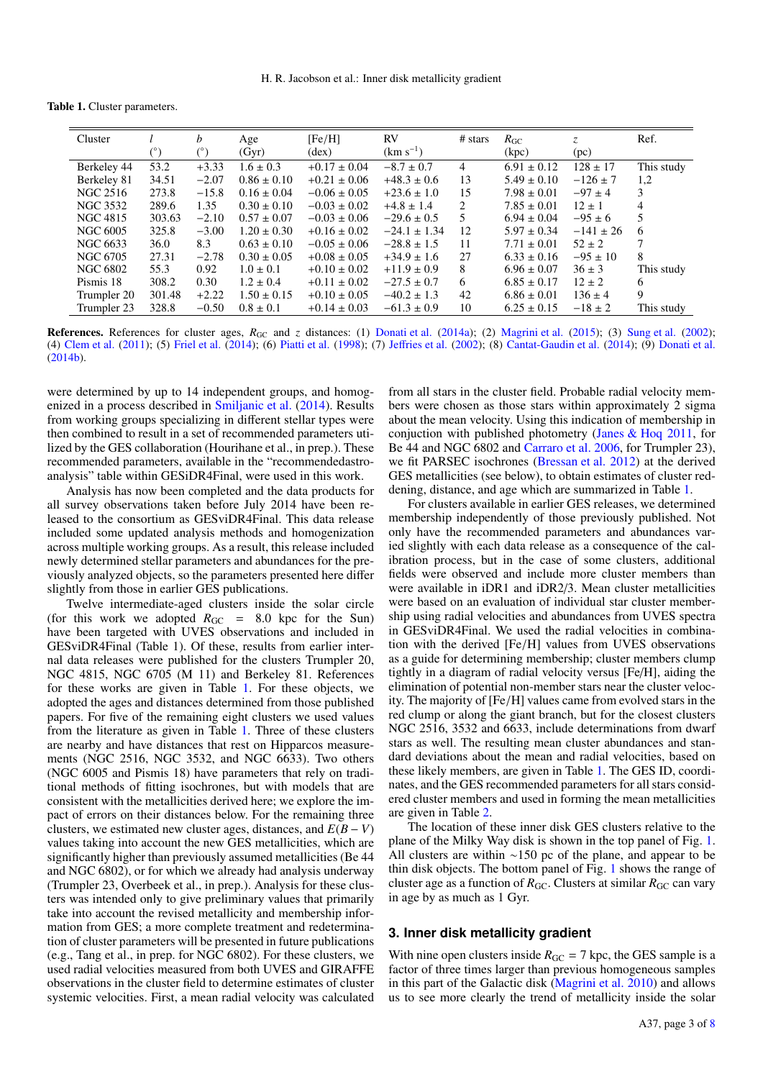Table 1. Cluster parameters.

<span id="page-2-1"></span>

| Cluster         |             | $\boldsymbol{b}$ | Age             | [Fe/H]           | <b>RV</b>        | # stars | $R_{\rm GC}$    | Z.            | Ref.           |
|-----------------|-------------|------------------|-----------------|------------------|------------------|---------|-----------------|---------------|----------------|
|                 | $(\degree)$ |                  | (Gyr)           | (dex)            | $(km s^{-1})$    |         | (kpc)           | (pc)          |                |
| Berkeley 44     | 53.2        | $+3.33$          | $1.6 \pm 0.3$   | $+0.17 \pm 0.04$ | $-8.7 \pm 0.7$   | 4       | $6.91 \pm 0.12$ | $128 \pm 17$  | This study     |
| Berkeley 81     | 34.51       | $-2.07$          | $0.86 \pm 0.10$ | $+0.21 \pm 0.06$ | $+48.3 \pm 0.6$  | 13      | $5.49 \pm 0.10$ | $-126 \pm 7$  | 1,2            |
| NGC 2516        | 273.8       | $-15.8$          | $0.16 \pm 0.04$ | $-0.06 \pm 0.05$ | $+23.6 \pm 1.0$  | 15      | $7.98 \pm 0.01$ | $-97 \pm 4$   | 3              |
| NGC 3532        | 289.6       | 1.35             | $0.30 \pm 0.10$ | $-0.03 \pm 0.02$ | $+4.8 \pm 1.4$   | 2       | $7.85 \pm 0.01$ | $12 \pm 1$    | $\overline{4}$ |
| NGC 4815        | 303.63      | $-2.10$          | $0.57 \pm 0.07$ | $-0.03 \pm 0.06$ | $-29.6 \pm 0.5$  | 5       | $6.94 \pm 0.04$ | $-95 \pm 6$   | 5.             |
| <b>NGC 6005</b> | 325.8       | $-3.00$          | $1.20 \pm 0.30$ | $+0.16 \pm 0.02$ | $-24.1 \pm 1.34$ | 12      | $5.97 \pm 0.34$ | $-141 \pm 26$ | 6              |
| NGC 6633        | 36.0        | 8.3              | $0.63 \pm 0.10$ | $-0.05 \pm 0.06$ | $-28.8 \pm 1.5$  | 11      | $7.71 \pm 0.01$ | $52 \pm 2$    |                |
| NGC 6705        | 27.31       | $-2.78$          | $0.30 \pm 0.05$ | $+0.08 \pm 0.05$ | $+34.9 \pm 1.6$  | 27      | $6.33 \pm 0.16$ | $-95 \pm 10$  | 8              |
| NGC 6802        | 55.3        | 0.92             | $1.0 \pm 0.1$   | $+0.10 \pm 0.02$ | $+11.9 \pm 0.9$  | 8       | $6.96 \pm 0.07$ | $36 \pm 3$    | This study     |
| Pismis 18       | 308.2       | 0.30             | $1.2 \pm 0.4$   | $+0.11 \pm 0.02$ | $-27.5 \pm 0.7$  | 6       | $6.85 \pm 0.17$ | $12 \pm 2$    | 6              |
| Trumpler 20     | 301.48      | $+2.22$          | $1.50 \pm 0.15$ | $+0.10 \pm 0.05$ | $-40.2 \pm 1.3$  | 42      | $6.86 \pm 0.01$ | $136 \pm 4$   | 9              |
| Trumpler 23     | 328.8       | $-0.50$          | $0.8 \pm 0.1$   | $+0.14 \pm 0.03$ | $-61.3 \pm 0.9$  | 10      | $6.25 \pm 0.15$ | $-18 \pm 2$   | This study     |

References. References for cluster ages,  $R_{\text{GC}}$  and *z* distances: (1) [Donati et al.](#page-7-36) [\(2014a\)](#page-7-36); (2) [Magrini et al.](#page-7-37) [\(2015\)](#page-7-37); (3) [Sung et al.](#page-7-38) [\(2002\)](#page-7-38); (4) [Clem et al.](#page-7-39) [\(2011\)](#page-7-39); (5) [Friel et al.](#page-7-40) [\(2014\)](#page-7-40); (6) [Piatti et al.](#page-7-41) [\(1998\)](#page-7-41); (7) Jeff[ries et al.](#page-7-42) [\(2002\)](#page-7-42); (8) [Cantat-Gaudin et al.](#page-6-8) [\(2014\)](#page-6-8); (9) [Donati et al.](#page-7-29) [\(2014b\)](#page-7-29).

were determined by up to 14 independent groups, and homogenized in a process described in [Smiljanic et al.](#page-7-43) [\(2014\)](#page-7-43). Results from working groups specializing in different stellar types were then combined to result in a set of recommended parameters utilized by the GES collaboration (Hourihane et al., in prep.). These recommended parameters, available in the "recommendedastroanalysis" table within GESiDR4Final, were used in this work.

Analysis has now been completed and the data products for all survey observations taken before July 2014 have been released to the consortium as GESviDR4Final. This data release included some updated analysis methods and homogenization across multiple working groups. As a result, this release included newly determined stellar parameters and abundances for the previously analyzed objects, so the parameters presented here differ slightly from those in earlier GES publications.

Twelve intermediate-aged clusters inside the solar circle (for this work we adopted  $R_{GC}$  = 8.0 kpc for the Sun) have been targeted with UVES observations and included in GESviDR4Final (Table 1). Of these, results from earlier internal data releases were published for the clusters Trumpler 20, NGC 4815, NGC 6705 (M 11) and Berkeley 81. References for these works are given in Table [1.](#page-2-1) For these objects, we adopted the ages and distances determined from those published papers. For five of the remaining eight clusters we used values from the literature as given in Table [1.](#page-2-1) Three of these clusters are nearby and have distances that rest on Hipparcos measurements (NGC 2516, NGC 3532, and NGC 6633). Two others (NGC 6005 and Pismis 18) have parameters that rely on traditional methods of fitting isochrones, but with models that are consistent with the metallicities derived here; we explore the impact of errors on their distances below. For the remaining three clusters, we estimated new cluster ages, distances, and  $E(B - V)$ values taking into account the new GES metallicities, which are significantly higher than previously assumed metallicities (Be 44 and NGC 6802), or for which we already had analysis underway (Trumpler 23, Overbeek et al., in prep.). Analysis for these clusters was intended only to give preliminary values that primarily take into account the revised metallicity and membership information from GES; a more complete treatment and redetermination of cluster parameters will be presented in future publications (e.g., Tang et al., in prep. for NGC 6802). For these clusters, we used radial velocities measured from both UVES and GIRAFFE observations in the cluster field to determine estimates of cluster systemic velocities. First, a mean radial velocity was calculated

from all stars in the cluster field. Probable radial velocity members were chosen as those stars within approximately 2 sigma about the mean velocity. Using this indication of membership in conjuction with published photometry [\(Janes & Hoq](#page-7-44) [2011,](#page-7-44) for Be 44 and NGC 6802 and [Carraro et al.](#page-6-11) [2006,](#page-6-11) for Trumpler 23), we fit PARSEC isochrones [\(Bressan et al.](#page-6-12) [2012\)](#page-6-12) at the derived GES metallicities (see below), to obtain estimates of cluster reddening, distance, and age which are summarized in Table [1.](#page-2-1)

For clusters available in earlier GES releases, we determined membership independently of those previously published. Not only have the recommended parameters and abundances varied slightly with each data release as a consequence of the calibration process, but in the case of some clusters, additional fields were observed and include more cluster members than were available in iDR1 and iDR2/3. Mean cluster metallicities were based on an evaluation of individual star cluster membership using radial velocities and abundances from UVES spectra in GESviDR4Final. We used the radial velocities in combination with the derived [Fe/H] values from UVES observations as a guide for determining membership; cluster members clump tightly in a diagram of radial velocity versus [Fe/H], aiding the elimination of potential non-member stars near the cluster velocity. The majority of [Fe/H] values came from evolved stars in the red clump or along the giant branch, but for the closest clusters NGC 2516, 3532 and 6633, include determinations from dwarf stars as well. The resulting mean cluster abundances and standard deviations about the mean and radial velocities, based on these likely members, are given in Table [1.](#page-2-1) The GES ID, coordinates, and the GES recommended parameters for all stars considered cluster members and used in forming the mean metallicities are given in Table [2.](#page-3-0)

The location of these inner disk GES clusters relative to the plane of the Milky Way disk is shown in the top panel of Fig. [1.](#page-3-1) All clusters are within ∼150 pc of the plane, and appear to be thin disk objects. The bottom panel of Fig. [1](#page-3-1) shows the range of cluster age as a function of  $R_{\text{GC}}$ . Clusters at similar  $R_{\text{GC}}$  can vary in age by as much as 1 Gyr.

### <span id="page-2-0"></span>**3. Inner disk metallicity gradient**

With nine open clusters inside  $R_{\text{GC}} = 7$  kpc, the GES sample is a factor of three times larger than previous homogeneous samples in this part of the Galactic disk [\(Magrini et al.](#page-7-12) [2010\)](#page-7-12) and allows us to see more clearly the trend of metallicity inside the solar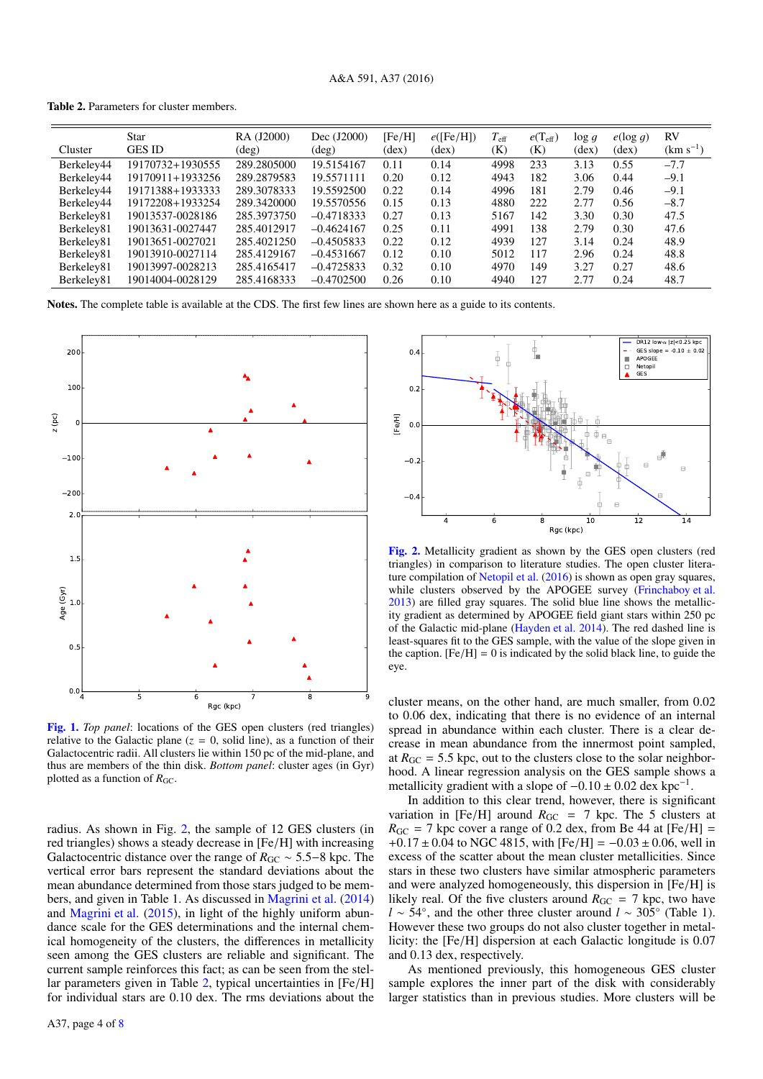<span id="page-3-0"></span>Table 2. Parameters for cluster members.

| Cluster    | <b>Star</b><br><b>GES ID</b> | RA (J2000)<br>$(\text{deg})$ | Dec (J2000)<br>$(\text{deg})$ | [Fe/H]<br>$(\text{dex})$ | e(Fe/H)<br>$(\text{dex})$ | $T_{\rm eff}$<br>(K) | $e(T_{\text{eff}})$<br>(K) | $\log g$<br>(dex) | $e(\log q)$<br>$(\text{dex})$ | <b>RV</b><br>$(km s^{-1})$ |
|------------|------------------------------|------------------------------|-------------------------------|--------------------------|---------------------------|----------------------|----------------------------|-------------------|-------------------------------|----------------------------|
| Berkeley44 | 19170732+1930555             | 289.2805000                  | 19.5154167                    | 0.11                     | 0.14                      | 4998                 | 233                        | 3.13              | 0.55                          | $-7.7$                     |
| Berkeley44 | 19170911+1933256             | 289.2879583                  | 19.5571111                    | 0.20                     | 0.12                      | 4943                 | 182                        | 3.06              | 0.44                          | $-9.1$                     |
| Berkeley44 | 19171388+1933333             | 289.3078333                  | 19.5592500                    | 0.22                     | 0.14                      | 4996                 | 181                        | 2.79              | 0.46                          | $-9.1$                     |
| Berkeley44 | 19172208+1933254             | 289.3420000                  | 19.5570556                    | 0.15                     | 0.13                      | 4880                 | 222                        | 2.77              | 0.56                          | $-8.7$                     |
| Berkeley81 | 19013537-0028186             | 285.3973750                  | $-0.4718333$                  | 0.27                     | 0.13                      | 5167                 | 142                        | 3.30              | 0.30                          | 47.5                       |
| Berkeley81 | 19013631-0027447             | 285.4012917                  | $-0.4624167$                  | 0.25                     | 0.11                      | 4991                 | 138                        | 2.79              | 0.30                          | 47.6                       |
| Berkeley81 | 19013651-0027021             | 285.4021250                  | $-0.4505833$                  | 0.22                     | 0.12                      | 4939                 | 127                        | 3.14              | 0.24                          | 48.9                       |
| Berkeley81 | 19013910-0027114             | 285.4129167                  | $-0.4531667$                  | 0.12                     | 0.10                      | 5012                 | 117                        | 2.96              | 0.24                          | 48.8                       |
| Berkeley81 | 19013997-0028213             | 285.4165417                  | $-0.4725833$                  | 0.32                     | 0.10                      | 4970                 | 149                        | 3.27              | 0.27                          | 48.6                       |
| Berkeley81 | 19014004-0028129             | 285.4168333                  | $-0.4702500$                  | 0.26                     | 0.10                      | 4940                 | 127                        | 2.77              | 0.24                          | 48.7                       |

Notes. The complete table is available at the CDS. The first few lines are shown here as a guide to its contents.



<span id="page-3-1"></span>[Fig. 1.](http://dexter.edpsciences.org/applet.php?DOI=10.1051/0004-6361/201527654&pdf_id=1) *Top panel*: locations of the GES open clusters (red triangles) relative to the Galactic plane ( $z = 0$ , solid line), as a function of their Galactocentric radii. All clusters lie within 150 pc of the mid-plane, and thus are members of the thin disk. *Bottom panel*: cluster ages (in Gyr) plotted as a function of  $R_{\text{GC}}$ .

radius. As shown in Fig. [2,](#page-3-2) the sample of 12 GES clusters (in red triangles) shows a steady decrease in [Fe/H] with increasing Galactocentric distance over the range of  $R_{GC} \sim 5.5-8$  kpc. The vertical error bars represent the standard deviations about the mean abundance determined from those stars judged to be members, and given in Table 1. As discussed in [Magrini et al.](#page-7-45) [\(2014\)](#page-7-45) and [Magrini et al.](#page-7-37) [\(2015\)](#page-7-37), in light of the highly uniform abundance scale for the GES determinations and the internal chemical homogeneity of the clusters, the differences in metallicity seen among the GES clusters are reliable and significant. The current sample reinforces this fact; as can be seen from the stellar parameters given in Table [2,](#page-3-0) typical uncertainties in [Fe/H] for individual stars are 0.10 dex. The rms deviations about the



<span id="page-3-2"></span>[Fig. 2.](http://dexter.edpsciences.org/applet.php?DOI=10.1051/0004-6361/201527654&pdf_id=2) Metallicity gradient as shown by the GES open clusters (red triangles) in comparison to literature studies. The open cluster literature compilation of [Netopil et al.](#page-7-46) [\(2016\)](#page-7-46) is shown as open gray squares, while clusters observed by the APOGEE survey [\(Frinchaboy et al.](#page-7-25) [2013\)](#page-7-25) are filled gray squares. The solid blue line shows the metallicity gradient as determined by APOGEE field giant stars within 250 pc of the Galactic mid-plane [\(Hayden et al.](#page-7-27) [2014\)](#page-7-27). The red dashed line is least-squares fit to the GES sample, with the value of the slope given in the caption.  $[Fe/H] = 0$  is indicated by the solid black line, to guide the eye.

cluster means, on the other hand, are much smaller, from 0.02 to 0.06 dex, indicating that there is no evidence of an internal spread in abundance within each cluster. There is a clear decrease in mean abundance from the innermost point sampled, at  $R_{\text{GC}} = 5.5$  kpc, out to the clusters close to the solar neighborhood. A linear regression analysis on the GES sample shows a metallicity gradient with a slope of  $-0.10 \pm 0.02$  dex kpc<sup>−1</sup>.<br>In addition to this clear trend, however, there is signifi

In addition to this clear trend, however, there is significant variation in [Fe/H] around  $R_{GC}$  = 7 kpc. The 5 clusters at  $R_{\text{GC}} = 7$  kpc cover a range of 0.2 dex, from Be 44 at [Fe/H] = +0.17 ± 0.04 to NGC 4815, with [Fe/H] =  $-0.03 \pm 0.06$ , well in excess of the scatter about the mean cluster metallicities. Since stars in these two clusters have similar atmospheric parameters and were analyzed homogeneously, this dispersion in [Fe/H] is likely real. Of the five clusters around  $R_{\text{GC}} = 7$  kpc, two have *l* ∼ 54°, and the other three cluster around *l* ∼ 305° (Table 1). However these two groups do not also cluster together in metallicity: the [Fe/H] dispersion at each Galactic longitude is 0.07 and 0.13 dex, respectively.

As mentioned previously, this homogeneous GES cluster sample explores the inner part of the disk with considerably larger statistics than in previous studies. More clusters will be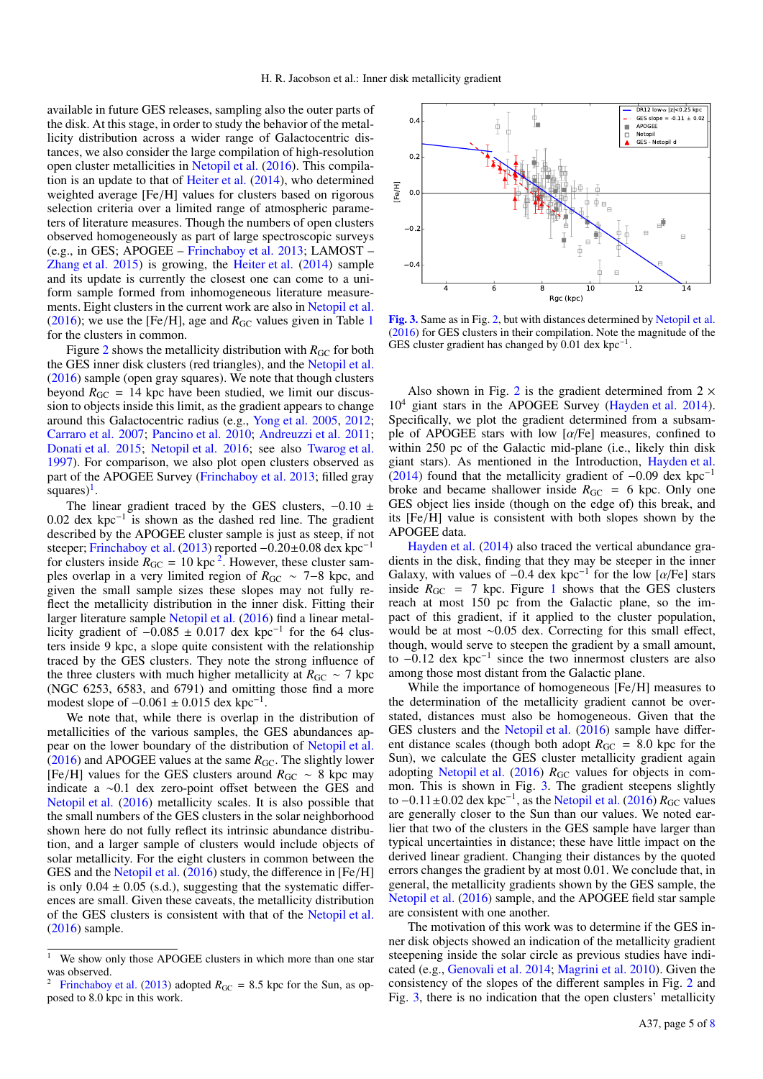available in future GES releases, sampling also the outer parts of the disk. At this stage, in order to study the behavior of the metallicity distribution across a wider range of Galactocentric distances, we also consider the large compilation of high-resolution open cluster metallicities in [Netopil et al.](#page-7-46) [\(2016\)](#page-7-46). This compilation is an update to that of [Heiter et al.](#page-7-3) [\(2014\)](#page-7-3), who determined weighted average [Fe/H] values for clusters based on rigorous selection criteria over a limited range of atmospheric parameters of literature measures. Though the numbers of open clusters observed homogeneously as part of large spectroscopic surveys (e.g., in GES; APOGEE – [Frinchaboy et al.](#page-7-25) [2013;](#page-7-25) LAMOST – [Zhang et al.](#page-7-47) [2015\)](#page-7-47) is growing, the [Heiter et al.](#page-7-3) [\(2014\)](#page-7-3) sample and its update is currently the closest one can come to a uniform sample formed from inhomogeneous literature measurements. Eight clusters in the current work are also in [Netopil et al.](#page-7-46) [\(2016\)](#page-7-46); we use the [Fe/H], age and  $R_{GC}$  values given in Table [1](#page-2-1) for the clusters in common.

Figure [2](#page-3-2) shows the metallicity distribution with  $R_{\text{GC}}$  for both the GES inner disk clusters (red triangles), and the [Netopil et al.](#page-7-46) [\(2016\)](#page-7-46) sample (open gray squares). We note that though clusters beyond  $R_{\text{GC}} = 14$  kpc have been studied, we limit our discussion to objects inside this limit, as the gradient appears to change around this Galactocentric radius (e.g., [Yong et al.](#page-7-48) [2005,](#page-7-48) [2012;](#page-7-4) [Carraro et al.](#page-6-1) [2007;](#page-6-1) [Pancino et al.](#page-7-49) [2010;](#page-7-49) [Andreuzzi et al.](#page-6-13) [2011;](#page-6-13) [Donati et al.](#page-7-50) [2015;](#page-7-50) [Netopil et al.](#page-7-46) [2016;](#page-7-46) see also [Twarog et al.](#page-7-2) [1997\)](#page-7-2). For comparison, we also plot open clusters observed as part of the APOGEE Survey [\(Frinchaboy et al.](#page-7-25) [2013;](#page-7-25) filled gray squares $)^{1}$  $)^{1}$  $)^{1}$ .

The linear gradient traced by the GES clusters,  $-0.10 \pm 10^{-1}$ 0.02 dex kpc<sup>-1</sup> is shown as the dashed red line. The gradient described by the APOGEE cluster sample is just as steen if not described by the APOGEE cluster sample is just as steep, if not steeper; [Frinchaboy et al.](#page-7-25) [\(2013\)](#page-7-25) reported <sup>−</sup>0.20±0.08 dex kpc<sup>−</sup><sup>1</sup> for clusters inside  $R_{\text{GC}} = 10 \text{ kpc}^2$  $R_{\text{GC}} = 10 \text{ kpc}^2$ . However, these cluster samples overlap in a very limited region of  $R_{\text{GC}} \sim 7-8$  kpc, and given the small sample sizes these slopes may not fully reflect the metallicity distribution in the inner disk. Fitting their larger literature sample [Netopil et al.](#page-7-46) [\(2016\)](#page-7-46) find a linear metallicity gradient of  $-0.085 \pm 0.017$  dex kpc<sup>-1</sup> for the 64 clus-<br>ters inside 9 kpc, a slope quite consistent with the relationship ters inside 9 kpc, a slope quite consistent with the relationship traced by the GES clusters. They note the strong influence of the three clusters with much higher metallicity at  $R_{\rm GC} \sim 7$  kpc (NGC 6253, 6583, and 6791) and omitting those find a more modest slope of  $-0.061 \pm 0.015$  dex kpc<sup>-1</sup>.<br>We note that while there is overlan i

We note that, while there is overlap in the distribution of metallicities of the various samples, the GES abundances appear on the lower boundary of the distribution of [Netopil et al.](#page-7-46) [\(2016\)](#page-7-46) and APOGEE values at the same  $R_{\text{GC}}$ . The slightly lower [Fe/H] values for the GES clusters around *<sup>R</sup>*GC <sup>∼</sup> 8 kpc may indicate a ∼0.1 dex zero-point offset between the GES and [Netopil et al.](#page-7-46) [\(2016\)](#page-7-46) metallicity scales. It is also possible that the small numbers of the GES clusters in the solar neighborhood shown here do not fully reflect its intrinsic abundance distribution, and a larger sample of clusters would include objects of solar metallicity. For the eight clusters in common between the GES and the [Netopil et al.](#page-7-46) [\(2016\)](#page-7-46) study, the difference in [Fe/H] is only  $0.04 \pm 0.05$  (s.d.), suggesting that the systematic differences are small. Given these caveats, the metallicity distribution of the GES clusters is consistent with that of the [Netopil et al.](#page-7-46) [\(2016\)](#page-7-46) sample.



<span id="page-4-2"></span>[Fig. 3.](http://dexter.edpsciences.org/applet.php?DOI=10.1051/0004-6361/201527654&pdf_id=3) Same as in Fig. [2,](#page-3-2) but with distances determined by [Netopil et al.](#page-7-46) [\(2016\)](#page-7-46) for GES clusters in their compilation. Note the magnitude of the GES cluster gradient has changed by  $0.01$  dex kpc<sup>-1</sup>.

Also shown in Fig. [2](#page-3-2) is the gradient determined from  $2 \times$  $10<sup>4</sup>$  giant stars in the APOGEE Survey [\(Hayden et al.](#page-7-27) [2014\)](#page-7-27). Specifically, we plot the gradient determined from a subsample of APOGEE stars with low  $\alpha$  Fe] measures, confined to within 250 pc of the Galactic mid-plane (i.e., likely thin disk giant stars). As mentioned in the Introduction, [Hayden et al.](#page-7-27) [\(2014\)](#page-7-27) found that the metallicity gradient of  $-0.09$  dex kpc<sup>-1</sup> broke and became shallower inside  $R_{\text{GC}} = 6$  kpc. Only one GES object lies inside (though on the edge of) this break, and its [Fe/H] value is consistent with both slopes shown by the APOGEE data.

[Hayden et al.](#page-7-27) [\(2014\)](#page-7-27) also traced the vertical abundance gradients in the disk, finding that they may be steeper in the inner Galaxy, with values of  $-0.4$  dex kpc<sup>-1</sup> for the low [ $\alpha$ /Fe] stars inside  $R_{CC} = 7$  kpc. Figure 1 shows that the GES clusters inside  $R_{\text{GC}}$  = 7 kpc. Figure [1](#page-3-1) shows that the GES clusters reach at most 150 pc from the Galactic plane, so the impact of this gradient, if it applied to the cluster population, would be at most ∼0.05 dex. Correcting for this small effect, though, would serve to steepen the gradient by a small amount, to −0.12 dex kpc<sup>−</sup><sup>1</sup> since the two innermost clusters are also among those most distant from the Galactic plane.

While the importance of homogeneous [Fe/H] measures to the determination of the metallicity gradient cannot be overstated, distances must also be homogeneous. Given that the GES clusters and the [Netopil et al.](#page-7-46) [\(2016\)](#page-7-46) sample have different distance scales (though both adopt  $R_{\text{GC}} = 8.0$  kpc for the Sun), we calculate the GES cluster metallicity gradient again adopting [Netopil et al.](#page-7-46) [\(2016\)](#page-7-46) *R*<sub>GC</sub> values for objects in common. This is shown in Fig. [3.](#page-4-2) The gradient steepens slightly to  $-0.11 \pm 0.02$  dex kpc<sup>-1</sup>, as the [Netopil et al.](#page-7-46) [\(2016\)](#page-7-46)  $R_{\rm GC}$  values are generally closer to the Sun than our values. We noted earare generally closer to the Sun than our values. We noted earlier that two of the clusters in the GES sample have larger than typical uncertainties in distance; these have little impact on the derived linear gradient. Changing their distances by the quoted errors changes the gradient by at most 0.01. We conclude that, in general, the metallicity gradients shown by the GES sample, the [Netopil et al.](#page-7-46) [\(2016\)](#page-7-46) sample, and the APOGEE field star sample are consistent with one another.

The motivation of this work was to determine if the GES inner disk objects showed an indication of the metallicity gradient steepening inside the solar circle as previous studies have indicated (e.g., [Genovali et al.](#page-7-8) [2014;](#page-7-8) [Magrini et al.](#page-7-12) [2010\)](#page-7-12). Given the consistency of the slopes of the different samples in Fig. [2](#page-3-2) and Fig. [3,](#page-4-2) there is no indication that the open clusters' metallicity

<span id="page-4-0"></span><sup>&</sup>lt;sup>1</sup> We show only those APOGEE clusters in which more than one star was observed.<br> $\frac{2 \text{ Frinohole}}{2}$ 

<span id="page-4-1"></span>[Frinchaboy et al.](#page-7-25) [\(2013\)](#page-7-25) adopted  $R_{\text{GC}} = 8.5$  kpc for the Sun, as opposed to 8.0 kpc in this work.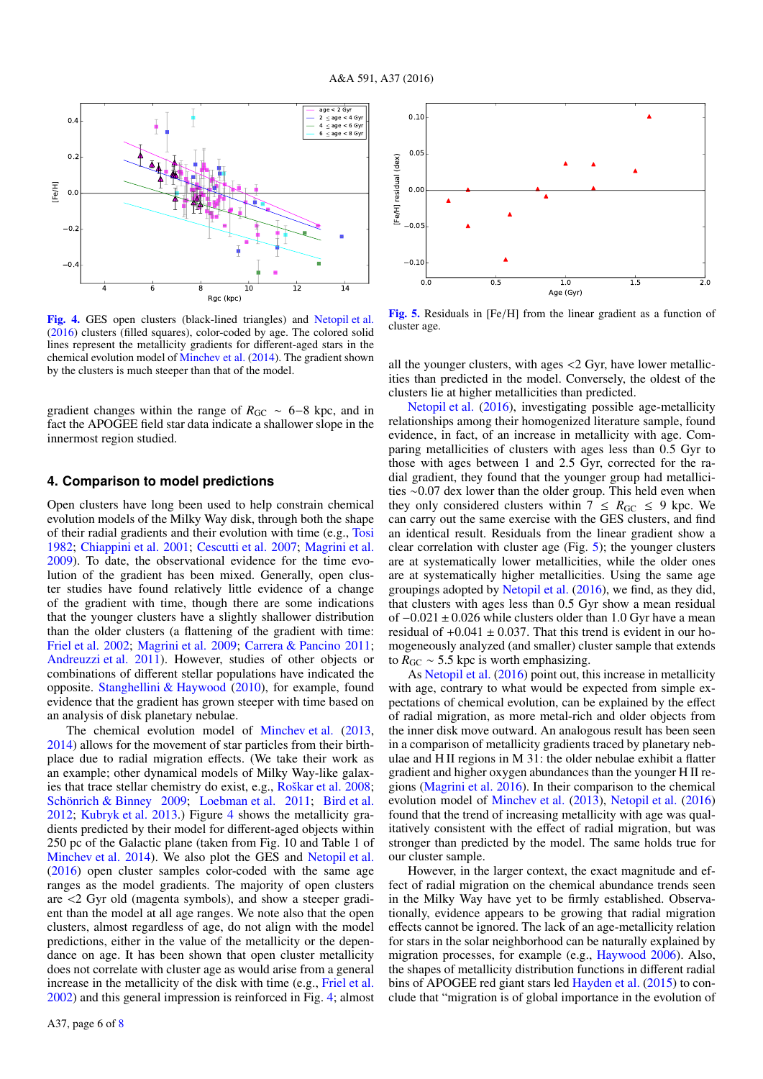

<span id="page-5-1"></span>[Fig. 4.](http://dexter.edpsciences.org/applet.php?DOI=10.1051/0004-6361/201527654&pdf_id=4) GES open clusters (black-lined triangles) and [Netopil et al.](#page-7-46) [\(2016\)](#page-7-46) clusters (filled squares), color-coded by age. The colored solid lines represent the metallicity gradients for different-aged stars in the chemical evolution model of [Minchev et al.](#page-7-51) [\(2014\)](#page-7-51). The gradient shown by the clusters is much steeper than that of the model.

gradient changes within the range of  $R_{GC} \sim 6-8$  kpc, and in fact the APOGEE field star data indicate a shallower slope in the innermost region studied.

## <span id="page-5-0"></span>**4. Comparison to model predictions**

Open clusters have long been used to help constrain chemical evolution models of the Milky Way disk, through both the shape of their radial gradients and their evolution with time (e.g., [Tosi](#page-7-52) [1982;](#page-7-52) [Chiappini et al.](#page-7-53) [2001;](#page-7-53) [Cescutti et al.](#page-6-14) [2007;](#page-6-14) [Magrini et al.](#page-7-54) [2009\)](#page-7-54). To date, the observational evidence for the time evolution of the gradient has been mixed. Generally, open cluster studies have found relatively little evidence of a change of the gradient with time, though there are some indications that the younger clusters have a slightly shallower distribution than the older clusters (a flattening of the gradient with time: [Friel et al.](#page-7-55) [2002;](#page-7-55) [Magrini et al.](#page-7-54) [2009;](#page-7-54) [Carrera & Pancino](#page-6-15) [2011;](#page-6-15) [Andreuzzi et al.](#page-6-13) [2011\)](#page-6-13). However, studies of other objects or combinations of different stellar populations have indicated the opposite. [Stanghellini & Haywood](#page-7-56) [\(2010\)](#page-7-56), for example, found evidence that the gradient has grown steeper with time based on an analysis of disk planetary nebulae.

The chemical evolution model of [Minchev et al.](#page-7-57) [\(2013,](#page-7-57) [2014\)](#page-7-51) allows for the movement of star particles from their birthplace due to radial migration effects. (We take their work as an example; other dynamical models of Milky Way-like galaxies that trace stellar chemistry do exist, e.g., [Roškar et al.](#page-7-58) [2008;](#page-7-58) [Schönrich & Binney](#page-7-59) [2009;](#page-7-59) [Loebman et al.](#page-7-60) [2011;](#page-7-60) [Bird et al.](#page-6-16) [2012;](#page-6-16) [Kubryk et al.](#page-7-61) [2013.](#page-7-61)) Figure [4](#page-5-1) shows the metallicity gradients predicted by their model for different-aged objects within 250 pc of the Galactic plane (taken from Fig. 10 and Table 1 of [Minchev et al.](#page-7-51) [2014\)](#page-7-51). We also plot the GES and [Netopil et al.](#page-7-46) [\(2016\)](#page-7-46) open cluster samples color-coded with the same age ranges as the model gradients. The majority of open clusters are <2 Gyr old (magenta symbols), and show a steeper gradient than the model at all age ranges. We note also that the open clusters, almost regardless of age, do not align with the model predictions, either in the value of the metallicity or the dependance on age. It has been shown that open cluster metallicity does not correlate with cluster age as would arise from a general increase in the metallicity of the disk with time (e.g., [Friel et al.](#page-7-55) [2002\)](#page-7-55) and this general impression is reinforced in Fig. [4;](#page-5-1) almost



<span id="page-5-2"></span>[Fig. 5.](http://dexter.edpsciences.org/applet.php?DOI=10.1051/0004-6361/201527654&pdf_id=5) Residuals in [Fe/H] from the linear gradient as a function of cluster age.

all the younger clusters, with ages <2 Gyr, have lower metallicities than predicted in the model. Conversely, the oldest of the clusters lie at higher metallicities than predicted.

[Netopil et al.](#page-7-46) [\(2016\)](#page-7-46), investigating possible age-metallicity relationships among their homogenized literature sample, found evidence, in fact, of an increase in metallicity with age. Comparing metallicities of clusters with ages less than 0.5 Gyr to those with ages between 1 and 2.5 Gyr, corrected for the radial gradient, they found that the younger group had metallicities ∼0.07 dex lower than the older group. This held even when they only considered clusters within  $7 \leq R_{GC} \leq 9$  kpc. We can carry out the same exercise with the GES clusters, and find an identical result. Residuals from the linear gradient show a clear correlation with cluster age (Fig. [5\)](#page-5-2); the younger clusters are at systematically lower metallicities, while the older ones are at systematically higher metallicities. Using the same age groupings adopted by [Netopil et al.](#page-7-46) [\(2016\)](#page-7-46), we find, as they did, that clusters with ages less than 0.5 Gyr show a mean residual of <sup>−</sup>0.<sup>021</sup> <sup>±</sup> <sup>0</sup>.026 while clusters older than 1.0 Gyr have a mean residual of  $+0.041 \pm 0.037$ . That this trend is evident in our homogeneously analyzed (and smaller) cluster sample that extends to  $R_{\text{GC}} \sim 5.5$  kpc is worth emphasizing.

As [Netopil et al.](#page-7-46) [\(2016\)](#page-7-46) point out, this increase in metallicity with age, contrary to what would be expected from simple expectations of chemical evolution, can be explained by the effect of radial migration, as more metal-rich and older objects from the inner disk move outward. An analogous result has been seen in a comparison of metallicity gradients traced by planetary nebulae and H II regions in M 31: the older nebulae exhibit a flatter gradient and higher oxygen abundances than the younger H II regions [\(Magrini et al.](#page-7-62) [2016\)](#page-7-62). In their comparison to the chemical evolution model of [Minchev et al.](#page-7-57) [\(2013\)](#page-7-57), [Netopil et al.](#page-7-46) [\(2016\)](#page-7-46) found that the trend of increasing metallicity with age was qualitatively consistent with the effect of radial migration, but was stronger than predicted by the model. The same holds true for our cluster sample.

However, in the larger context, the exact magnitude and effect of radial migration on the chemical abundance trends seen in the Milky Way have yet to be firmly established. Observationally, evidence appears to be growing that radial migration effects cannot be ignored. The lack of an age-metallicity relation for stars in the solar neighborhood can be naturally explained by migration processes, for example (e.g., [Haywood](#page-7-63) [2006\)](#page-7-63). Also, the shapes of metallicity distribution functions in different radial bins of APOGEE red giant stars led [Hayden et al.](#page-7-28) [\(2015\)](#page-7-28) to conclude that "migration is of global importance in the evolution of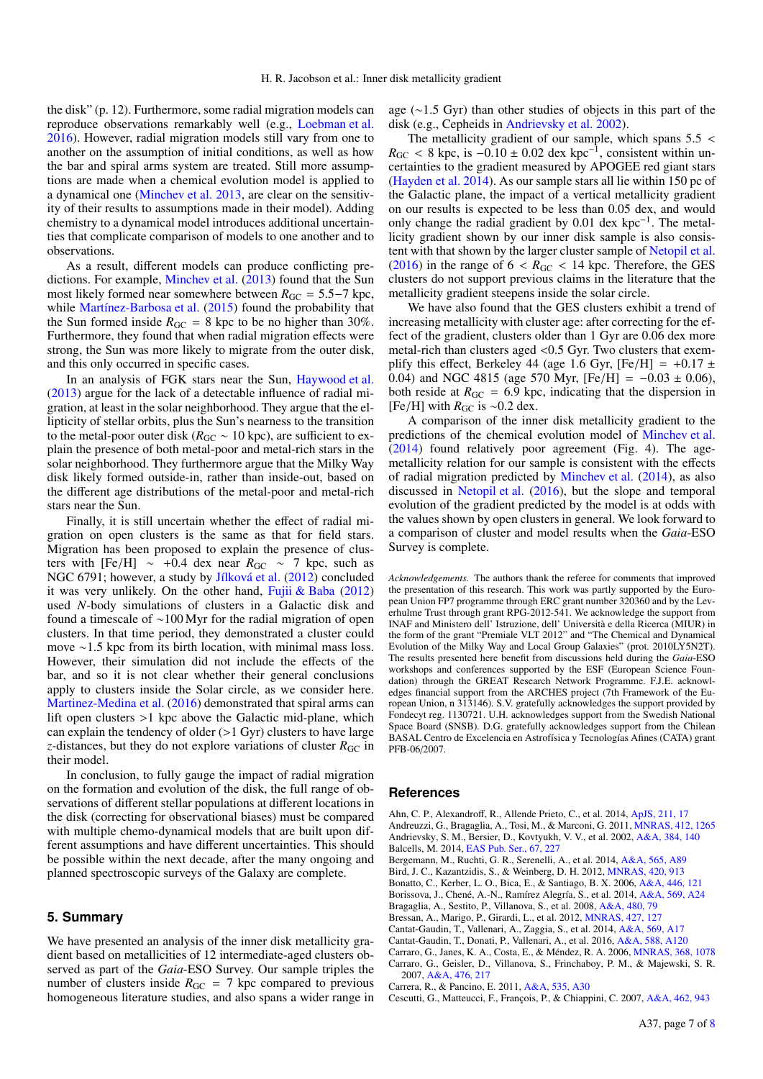the disk" (p. 12). Furthermore, some radial migration models can reproduce observations remarkably well (e.g., [Loebman et al.](#page-7-64) [2016\)](#page-7-64). However, radial migration models still vary from one to another on the assumption of initial conditions, as well as how the bar and spiral arms system are treated. Still more assumptions are made when a chemical evolution model is applied to a dynamical one [\(Minchev et al.](#page-7-57) [2013,](#page-7-57) are clear on the sensitivity of their results to assumptions made in their model). Adding chemistry to a dynamical model introduces additional uncertainties that complicate comparison of models to one another and to observations.

As a result, different models can produce conflicting predictions. For example, [Minchev et al.](#page-7-57) [\(2013\)](#page-7-57) found that the Sun most likely formed near somewhere between  $R_{\text{GC}} = 5.5-7$  kpc, while [Martínez-Barbosa et al.](#page-7-65) [\(2015\)](#page-7-65) found the probability that the Sun formed inside  $R_{\text{GC}} = 8$  kpc to be no higher than 30%. Furthermore, they found that when radial migration effects were strong, the Sun was more likely to migrate from the outer disk, and this only occurred in specific cases.

In an analysis of FGK stars near the Sun, [Haywood et al.](#page-7-66) [\(2013\)](#page-7-66) argue for the lack of a detectable influence of radial migration, at least in the solar neighborhood. They argue that the ellipticity of stellar orbits, plus the Sun's nearness to the transition to the metal-poor outer disk ( $R_{\text{GC}} \sim 10$  kpc), are sufficient to explain the presence of both metal-poor and metal-rich stars in the solar neighborhood. They furthermore argue that the Milky Way disk likely formed outside-in, rather than inside-out, based on the different age distributions of the metal-poor and metal-rich stars near the Sun.

Finally, it is still uncertain whether the effect of radial migration on open clusters is the same as that for field stars. Migration has been proposed to explain the presence of clusters with [Fe/H]  $\sim$  +0.4 dex near  $R_{\rm GC} \sim$  7 kpc, such as NGC 6791; however, a study by [Jílková et al.](#page-7-67) [\(2012\)](#page-7-67) concluded it was very unlikely. On the other hand, Fujii  $& Baba (2012)$  $& Baba (2012)$ used *N*-body simulations of clusters in a Galactic disk and found a timescale of ∼100 Myr for the radial migration of open clusters. In that time period, they demonstrated a cluster could move ∼1.5 kpc from its birth location, with minimal mass loss. However, their simulation did not include the effects of the bar, and so it is not clear whether their general conclusions apply to clusters inside the Solar circle, as we consider here. [Martinez-Medina et al.](#page-7-69) [\(2016\)](#page-7-69) demonstrated that spiral arms can lift open clusters >1 kpc above the Galactic mid-plane, which can explain the tendency of older  $(>1 \text{ Gyr})$  clusters to have large *z*-distances, but they do not explore variations of cluster  $R_{\text{GC}}$  in their model.

In conclusion, to fully gauge the impact of radial migration on the formation and evolution of the disk, the full range of observations of different stellar populations at different locations in the disk (correcting for observational biases) must be compared with multiple chemo-dynamical models that are built upon different assumptions and have different uncertainties. This should be possible within the next decade, after the many ongoing and planned spectroscopic surveys of the Galaxy are complete.

### <span id="page-6-10"></span>**5. Summary**

We have presented an analysis of the inner disk metallicity gradient based on metallicities of 12 intermediate-aged clusters observed as part of the *Gaia*-ESO Survey. Our sample triples the number of clusters inside  $R_{\text{GC}} = 7$  kpc compared to previous homogeneous literature studies, and also spans a wider range in age (∼1.5 Gyr) than other studies of objects in this part of the disk (e.g., Cepheids in [Andrievsky et al.](#page-6-0) [2002\)](#page-6-0).

The metallicity gradient of our sample, which spans  $5.5 <$  $R_{\rm GC}$  < 8 kpc, is  $-0.10 \pm 0.02$  dex kpc<sup>-1</sup>, consistent within uncertainties to the gradient measured by APOGEE red giant stars certainties to the gradient measured by APOGEE red giant stars [\(Hayden et al.](#page-7-27) [2014\)](#page-7-27). As our sample stars all lie within 150 pc of the Galactic plane, the impact of a vertical metallicity gradient on our results is expected to be less than 0.05 dex, and would only change the radial gradient by 0.01 dex kpc−<sup>1</sup> . The metallicity gradient shown by our inner disk sample is also consistent with that shown by the larger cluster sample of [Netopil et al.](#page-7-46) [\(2016\)](#page-7-46) in the range of  $6 < R_{GC} < 14$  kpc. Therefore, the GES clusters do not support previous claims in the literature that the metallicity gradient steepens inside the solar circle.

We have also found that the GES clusters exhibit a trend of increasing metallicity with cluster age: after correcting for the effect of the gradient, clusters older than 1 Gyr are 0.06 dex more metal-rich than clusters aged <0.5 Gyr. Two clusters that exemplify this effect, Berkeley 44 (age 1.6 Gyr, [Fe/H] =  $+0.17 \pm$ 0.04) and NGC 4815 (age 570 Myr,  $[Fe/H] = -0.03 \pm 0.06$ ), both reside at  $R_{\text{GC}} = 6.9$  kpc, indicating that the dispersion in [Fe/H] with  $R_{\text{GC}}$  is ~0.2 dex.

A comparison of the inner disk metallicity gradient to the predictions of the chemical evolution model of [Minchev et al.](#page-7-51) [\(2014\)](#page-7-51) found relatively poor agreement (Fig. 4). The agemetallicity relation for our sample is consistent with the effects of radial migration predicted by [Minchev et al.](#page-7-51) [\(2014\)](#page-7-51), as also discussed in [Netopil et al.](#page-7-46) [\(2016\)](#page-7-46), but the slope and temporal evolution of the gradient predicted by the model is at odds with the values shown by open clusters in general. We look forward to a comparison of cluster and model results when the *Gaia*-ESO Survey is complete.

*Acknowledgements.* The authors thank the referee for comments that improved the presentation of this research. This work was partly supported by the European Union FP7 programme through ERC grant number 320360 and by the Leverhulme Trust through grant RPG-2012-541. We acknowledge the support from INAF and Ministero dell' Istruzione, dell' Università e della Ricerca (MIUR) in the form of the grant "Premiale VLT 2012" and "The Chemical and Dynamical Evolution of the Milky Way and Local Group Galaxies" (prot. 2010LY5N2T). The results presented here benefit from discussions held during the *Gaia*-ESO workshops and conferences supported by the ESF (European Science Foundation) through the GREAT Research Network Programme. F.J.E. acknowledges financial support from the ARCHES project (7th Framework of the European Union, n 313146). S.V. gratefully acknowledges the support provided by Fondecyt reg. 1130721. U.H. acknowledges support from the Swedish National Space Board (SNSB). D.G. gratefully acknowledges support from the Chilean BASAL Centro de Excelencia en Astrofísica y Tecnologías Afines (CATA) grant PFB-06/2007.

#### **References**

<span id="page-6-13"></span><span id="page-6-7"></span><span id="page-6-0"></span>Ahn, C. P., Alexandroff, R., Allende Prieto, C., et al. 2014, [ApJS, 211, 17](http://linker.aanda.org/10.1051/0004-6361/201527654/1) Andreuzzi, G., Bragaglia, A., Tosi, M., & Marconi, G. 2011, [MNRAS, 412, 1265](http://linker.aanda.org/10.1051/0004-6361/201527654/2) Andrievsky, S. M., Bersier, D., Kovtyukh, V. V., et al. 2002, [A&A, 384, 140](http://linker.aanda.org/10.1051/0004-6361/201527654/3) Balcells, M. 2014, [EAS Pub. Ser., 67, 227](http://linker.aanda.org/10.1051/0004-6361/201527654/4)

<span id="page-6-9"></span><span id="page-6-6"></span>Bergemann, M., Ruchti, G. R., Serenelli, A., et al. 2014, [A&A, 565, A89](http://linker.aanda.org/10.1051/0004-6361/201527654/5)

<span id="page-6-16"></span>Bird, J. C., Kazantzidis, S., & Weinberg, D. H. 2012, [MNRAS, 420, 913](http://linker.aanda.org/10.1051/0004-6361/201527654/6)

<span id="page-6-5"></span><span id="page-6-4"></span>Bonatto, C., Kerber, L. O., Bica, E., & Santiago, B. X. 2006, [A&A, 446, 121](http://linker.aanda.org/10.1051/0004-6361/201527654/7) Borissova, J., Chené, A.-N., Ramírez Alegría, S., et al. 2014, [A&A, 569, A24](http://linker.aanda.org/10.1051/0004-6361/201527654/8)

<span id="page-6-2"></span>Bragaglia, A., Sestito, P., Villanova, S., et al. 2008, [A&A, 480, 79](http://linker.aanda.org/10.1051/0004-6361/201527654/9)

<span id="page-6-12"></span>Bressan, A., Marigo, P., Girardi, L., et al. 2012, [MNRAS, 427, 127](http://linker.aanda.org/10.1051/0004-6361/201527654/10)

<span id="page-6-8"></span>Cantat-Gaudin, T., Vallenari, A., Zaggia, S., et al. 2014, [A&A, 569, A17](http://linker.aanda.org/10.1051/0004-6361/201527654/11)

<span id="page-6-3"></span>Cantat-Gaudin, T., Donati, P., Vallenari, A., et al. 2016, [A&A, 588, A120](http://linker.aanda.org/10.1051/0004-6361/201527654/12)

<span id="page-6-11"></span><span id="page-6-1"></span>Carraro, G., Janes, K. A., Costa, E., & Méndez, R. A. 2006, [MNRAS, 368, 1078](http://linker.aanda.org/10.1051/0004-6361/201527654/13) Carraro, G., Geisler, D., Villanova, S., Frinchaboy, P. M., & Majewski, S. R.

2007, [A&A, 476, 217](http://linker.aanda.org/10.1051/0004-6361/201527654/14)

<span id="page-6-15"></span>Carrera, R., & Pancino, E. 2011, [A&A, 535, A30](http://linker.aanda.org/10.1051/0004-6361/201527654/15)

<span id="page-6-14"></span>Cescutti, G., Matteucci, F., François, P., & Chiappini, C. 2007, [A&A, 462, 943](http://linker.aanda.org/10.1051/0004-6361/201527654/16)